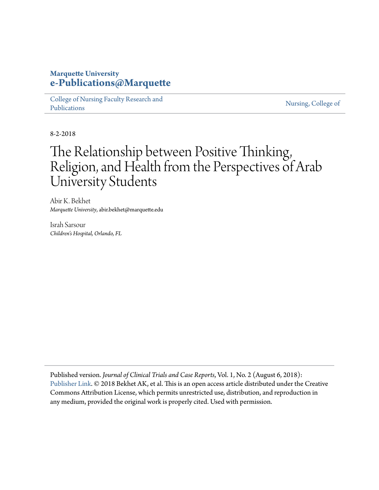### **Marquette University [e-Publications@Marquette](https://epublications.marquette.edu/)**

[College of Nursing Faculty Research and](https://epublications.marquette.edu/nursing_fac) [Publications](https://epublications.marquette.edu/nursing_fac)

[Nursing, College of](https://epublications.marquette.edu/nursing)

8-2-2018

# The Relationship between Positive Thinking, Religion, and Health from the Perspectives of Arab University Students

Abir K. Bekhet *Marquette University*, abir.bekhet@marquette.edu

Israh Sarsour *Children's Hospital, Orlando, FL*

Published version. *Journal of Clinical Trials and Case Reports*, Vol. 1, No. 2 (August 6, 2018): [Publisher Link](https://www.elynspublishing.com/journal/article/the-relationship-between-positive-thinking-religion-and-health-from-the-perspectives-of-arab-university-students). © 2018 Bekhet AK, et al. This is an open access article distributed under the Creative Commons Attribution License, which permits unrestricted use, distribution, and reproduction in any medium, provided the original work is properly cited. Used with permission.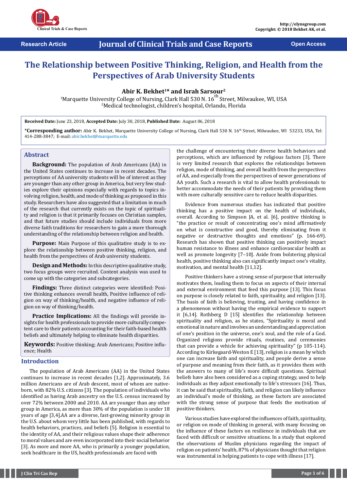

## **The Relationship between Positive Thinking, Religion, and Health from the Perspectives of Arab University Students**

#### **Abir K. Bekhet<sup>1</sup>\* and Israh Sarsour<sup>2</sup>**

<sup>1</sup>Marquette University College of Nursing, Clark Hall 530 N.  $16^{th}$  Street, Milwaukee, WI, USA <sup>2</sup>Medical technologist, children's hospital, Orlando, Florida

**Received Date:** June 23, 2018, **Accepted Date:** July 30, 2018, **Published Date:** August 06, 2018

\*Corresponding author: Abir K. Bekhet, Marquette University College of Nursing, Clark Hall 530 N. 16<sup>th</sup> Street, Milwaukee, WI 53233, USA, Tel: 414-288-3847; E-mail: abir.bekhet@marquette.edu

#### **Abstract**

**Background:** The population of Arab Americans (AA) in the United States continues to increase in recent decades. The perceptions of AA university students will be of interest as they are younger than any other group in America, but very few studies explore their opinions especially with regards to topics involving religion, health, and mode of thinking as proposed in this study. Researchers have also suggested that a limitation in much of the research that currently exists on the topic of spirituality and religion is that it primarily focuses on Christian samples, and that future studies should include individuals from more diverse faith traditions for researchers to gain a more thorough understanding of the relationship between religion and health.

**Purpose:** Main Purpose of this qualitative study is to explore the relationship between positive thinking, religion, and health from the perspectives of Arab university students.

**Design and Methods:** In this descriptive qualitative study, two focus groups were recruited. Content analysis was used to come up with the categories and subcategories.

**Findings:** Three distinct categories were identified: Positive thinking enhances overall health, Positive influence of religion on way of thinking/health, and negative influence of religion on way of thinking/health.

**Practice Implications:** All the findings will provide insights for health professionals to provide more culturally competent care to their patients accounting for their faith-based health beliefs and ultimately helping to eliminate health disparities.

**Keywords:** Positive thinking; Arab Americans; Positive influence; Health

### **Introduction**

The population of Arab Americans (AA) in the United States continues to increase in recent decades [1,2]. Approximately, 3.6 million Americans are of Arab descent, most of whom are nativeborn, with 82% U.S. citizens [3]. The population of individuals who identified as having Arab ancestry on the U.S. census increased by over 72% between 2000 and 2010. AA are younger than any other group in America, as more than 30% of the population is under 18 years of age [3,4].AA are a diverse, fast-growing minority group in the U.S. about whom very little has been published, with regards to health behaviors, practices, and beliefs [5]. Religion is essential to the identity of AA, and their religious values shape their adherence to moral values and are even incorporated into their social behavior [3]. As more and more AA, who is primarily a younger population, seek healthcare in the US, health professionals are faced with

the challenge of encountering their diverse health behaviors and perceptions, which are influenced by religious factors [3]. There is very limited research that explores the relationships between religion, mode of thinking, and overall health from the perspectives of AA, and especially from the perspectives of newer generations of AA youth. Such a research is vital to allow health professionals to better accommodate the needs of their patients by providing them with more culturally sensitive care to reduce health disparities.

Evidence from numerous studies has indicated that positive thinking has a positive impact on the health of individuals, overall. According to Simpson JA, et al. [6], positive thinking is "the practice or result of concentrating one's mind affirmatively on what is constructive and good, thereby eliminating from it negative or destructive thoughts and emotions" (p. 166-69). Research has shown that positive thinking can positively impact human resistance to illness and enhance cardiovascular health as well as promote longevity [7–10]. Aside from bolstering physical health, positive thinking also can significantly impact one's vitality, motivation, and mental health [11,12].

Positive thinkers have a strong sense of purpose that internally motivates them, leading them to focus on aspects of their internal and external environment that feed this purpose [13]. This focus on purpose is closely related to faith, spirituality, and religion [13]. The basis of faith is believing, trusting, and having confidence in a phenomenon without having the empirical evidence to support it [6,14]. Rothberg D [15] identifies the relationship between spirituality and religion, as he states, "Spirituality is moral and emotional in nature and involves an understanding and appreciation of one's position in the universe, one's soul, and the role of a God. Organized religions provide rituals, routines, and ceremonies that can provide a vehicle for achieving spirituality" (p 105-114). According to Kirkegaard-Weston E [13], religion is a mean by which one can increase faith and spirituality, and people derive a sense of purpose and meaning from their faith, as it provides them with the answers to many of life's more difficult questions. Spiritual beliefs have also been considered as a coping strategy, used to help individuals as they adjust emotionally to life's stressors [16]. Thus, it can be said that spirituality, faith, and religion can likely influence an individual's mode of thinking, as these factors are associated with the strong sense of purpose that feeds the motivation of positive thinkers.

Various studies have explored the influences of faith, spirituality, or religion on mode of thinking in general, with many focusing on the influence of these factors on resilience in individuals that are faced with difficult or sensitive situations. In a study that explored the observations of Muslim physicians regarding the impact of religion on patients' health, 87% of physicians thought that religion was instrumental in helping patients to cope with illness [17].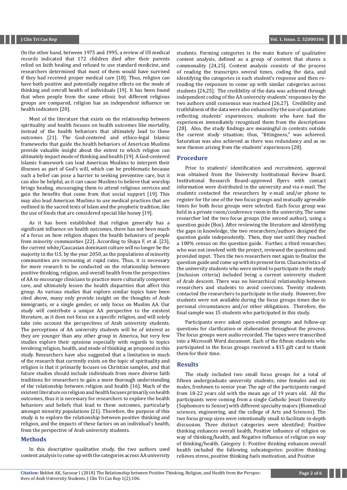On the other hand, between 1975 and 1995, a review of US medical records indicated that 172 children died after their parents relied on faith healing and refused to use standard medicine, and researchers determined that most of them would have survived if they had received proper medical care [18]. Thus, religion can have both positive and potentially negative effects on the mode of thinking and overall health of individuals [19]. It has been found that when people from the same ethnic but different religious groups are compared, religion has an independent influence on health indicators [20].

Most of the literature that exists on the relationship between spirituality and health focuses on health outcomes like mortality, instead of the health behaviors that ultimately lead to these outcomes [21]. The God-centered and ethico-legal Islamic frameworks that guide the health behaviors of American Muslims provide valuable insight about the extent to which religion can ultimately impact mode of thinking and health [19]. A God-centered Islamic framework can lead American Muslims to interpret their illnesses as part of God's will, which can be problematic because such a belief can pose a barrier to seeking preventive care, but it can also be helpful, as it can cause Muslims to believe that worship brings healing, encouraging them to attend religious services and gain the benefits that come from that social support [19]. This may also lead American Muslims to use medical practices that are outlined in the sacred texts of Islam and the prophetic tradition, like the use of foods that are considered special like honey [19].

As it has been established that religion generally has a significant influence on health outcomes, there has not been much of a focus on how religion shapes the health behaviors of people from minority communities [22]. According to Shaya F, et al. [23], the current white/Caucasian dominant culture will no longer be the majority in the U.S. by the year 2050, as the populations of minority communities are increasing at rapid rates. Thus, it is necessary for more research to be conducted on the relationship between positive thinking, religion, and overall health from the perspectives of AA to encourage clinicians to practice more culturally competent care, and ultimately lessen the health disparities that affect this group. As various studies that explore similar topics have been cited above, many only provide insight on the thoughts of Arab immigrants, or a single gender, or only focus on Muslim AA. Our study will contribute a unique AA perspective to the existent literature, as it does not focus on a specific religion, and will solely take into account the perspectives of Arab university students. The perceptions of AA university students will be of interest as they are younger than any other group in America, but very few studies explore their opinions especially with regards to topics involving religion, health, and mode of thinking as proposed in this study. Researchers have also suggested that a limitation in much of the research that currently exists on the topic of spirituality and religion is that it primarily focuses on Christian samples, and that future studies should include individuals from more diverse faith traditions for researchers to gain a more thorough understanding of the relationship between religion and health [16]. Much of the existent literature on religion and health focuses primarily on health outcomes, thus it is necessary for researchers to explore the health behaviors and beliefs that lead to these outcomes, particularly amongst minority populations [21]. Therefore, the purpose of this study is to explore the relationship between positive thinking and religion, and the impacts of these factors on an individual's health, from the perspective of Arab university students.

#### **Methods**

In this descriptive qualitative study, the two authors used content analysis to come up with the categories across AA university students. Forming categories is the main feature of qualitative content analysis, defined as a group of content that shares a commonality [24,25]. Content analysis consists of the process of reading the transcripts several times, coding the data, and identifying the categories in each student's response and then rereading the responses to come up with similar categories across students [24,25]. The credibility of the data was achieved through independent coding of the AA university students' responses by the two authors until consensus was reached [26,27]. Credibility and truthfulness of the data were also enhanced by the use of quotations reflecting students' experiences; students who have had the experiences immediately recognized them from the descriptions [28]. Also, the study findings are meaningful in contexts outside the current study situation; thus, "fittingness," was achieved. Saturation was also achieved as there was redundancy and as no new themes arising from the students' experiences [28].

#### **Procedure**

Prior to students' identification and recruitment, approval was obtained from the University Institutional Review Board. Institutional Research Board–approved flyers with contact information were distributed in the university and via e-mail. The students contacted the researchers by e-mail and/or phone to register for the one of the two focus groups and mutually agreeable times for both focus groups were selected. Each focus group was held in a private room/conference room in the university. The same researcher led the two focus groups (the second author), using a question guide (Box). After reviewing the literature and identifying the gaps in knowledge, the two researchers/authors designed the question guide independently. Then, they met until they reached a 100% census on the question guide. Further, a third researcher, who was not involved with the project, reviewed the questions and provided input. Then the two researchers met again to finalize the question guide and come up with its present form. Characteristics of the university students who were invited to participate in the study (inclusion criteria) included being a current university student of Arab descent. There was no hierarchical relationship between researchers and students to avoid coercions. Twenty students contacted the researchers to participate in the study. However, five students were not available during the focus groups times due to personal circumstances and/or other obligations. Therefore, the final sample was 15 students who participated in this study.

Participants were asked open-ended prompts and follow-up questions for clarification or elaboration throughout the process. The focus groups were audio recorded. The tapes were transcribed into a Microsoft Word document. Each of the fifteen students who participated in the focus groups received a \$15 gift card to thank them for their time.

#### **Results**

The study included two small focus groups for a total of fifteen undergraduate university students; nine females and six males, freshmen to senior year. The age of the participants ranged from 18-22 years old with the mean age of 19 years old. All the participants were coming from a single Catholic Jesuit University (Sophomore to Senior) with different specialty majors (Biomedical sciences, engineering, and the college of Arts and Sciences). The two focus group sizes were intentionally small to facilitate in-depth discussion. Three distinct categories were identified; Positive thinking enhances overall health, Positive influence of religion on way of thinking/health, and Negative influence of religion on way of thinking/health. Category 1: Positive thinking enhances overall health included the following subcategories: positive thinking relieves stress, positive thinking fuels motivation, and Positive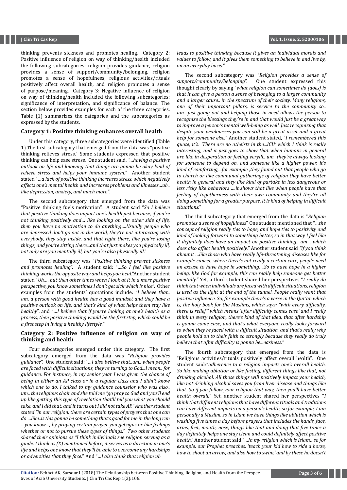thinking prevents sickness and promotes healing. Category 2: Positive influence of religion on way of thinking/health included the following subcategories: religion provides guidance, religion provides a sense of support/community/belonging, religion promotes a sense of hopefulness, religious activities/rituals positively affect overall health, and religion promotes a sense of purpose/meaning. Category 3: Negative influence of religion on way of thinking/health included the following subcategories: significance of interpretation, and significance of balance. The section below provides examples for each of the three categories. Table (1) summarizes the categories and the subcategories as expressed by the students.

#### **Category 1: Positive thinking enhances overall health**

Under this category, three subcategories were identified (Table 1).The first subcategory that emerged from the data was "positive thinking relieves stress." Some students expressed that positive thinking can help ease stress. One student said, *"…having a positive outlook on life and knowing that things are gonna be okay kind of relieve stress and helps your immune system.*" Another student stated "*…a lack of positive thinking increases stress, which negatively affects one's mental health and increases problems and illnesses…uh.. like depression, anxiety, and much more"*.

The second subcategory that emerged from the data was "Positive thinking fuels motivation". A student said "*So I believe that positive thinking does impact one's health just because, if you're not thinking positively and… like looking on the other side of life, then you have no motivation to do anything….Usually people who are depressed don't go out in the world, they're not interacting with everybody, they stay inside, and that right there, like you're losing things, and you're sitting there...and that just makes you physically ill, not only are you mentally ill, but you're also physically ill.*"

The third subcategory was "*Positive thinking prevent sickness and promotes healing*". A student said: "*…So I feel like positive thinking works the opposite way and helps you heal.*"Another student stated "*Uh,… but then other times when I look at it in a more positive perspective, you know sometimes I don't get sick which is nice*". Other examples from the students' quotations include: "*I believe that.. um, a person with good health has a good mindset and they have a positive outlook on life, and that's kind of what helps them stay like healthy*". and "*…I believe that if you're looking at one's health as a process, then positive thinking would be the first step, which could be a first step in living a healthy lifestyle.*"

#### **Category 2: Positive influence of religion on way of thinking and health**

Four subcategories emerged under this category. The first subcategory emerged from the data was "*Religion provides guidance*". One student said: "*…I also believe that..um.. when people are faced with difficult situations, they're turning to God...I mean.. for guidance. For instance, in my senior year I was given the chance of being in either an AP class or in a regular class and I didn't know which one to do. I talked to my guidance counselor who was also.. um.. the religious chair and she told me "go pray to God and you'll end up like getting this type of revelation that'll tell you what you should take, and I did that, and it turns out I did not take AP." Another student stated "in our religion, there are certain types of prayers that one can do …like..is this gonna be something that's good for me in the long run …you know…, by praying certain prayer you getsigns or like feelings whether or not to pursue these types of things." Two other students shared their opinions as "I think individuals see religion serving as a guide. I think as (X) mentioned before, it serves as a direction in one's life and helps one know that they'll be able to overcome any hardships or adversities that they face.*" And "*…I also think that religion uh*

*leads to positive thinking because it gives an individual morals and values to follow, and it gives them something to believe in and live by, on an everyday basis."*

The second subcategory was "*Religion provides a sense of*  One student expressed this thought clearly by saying "*what religion can sometimes do [does] is that it can give a person a sense of belonging to a larger community and a larger cause.. in the spectrum of their society. Many religions, one of their important pillars, is service to the community so.. um.. just going out and helping those in need allows the person to recognize the blessings they're in and that would just be a great way to improve a person's mental well-being as well. Just recognizing that despite your weaknesses you can still be a great asset and a great help for someone else.*" Another student stated, "*I remembered this quote, it's: 'There are no atheists in the...ICU' which I think is really interesting, and it just goes to show that when humans in general are like in desperation or feeling veryill.. um...they're always looking for someone to depend on, and someone like a higher power, it's kind of comforting,...for example ,they found out that people who go to church or like communal gatherings of religion they have better health in general and they like kind of partake in less dangerous or less risky like behaviors ….it shows that like when people have that feeling of togetherness with their own community and they're all doing something for a greater purpose, it is kind of helping in difficult situations.*"

The third subcategory that emerged from the data is "*Religion promotes a sense of hopefulness*" One student mentioned that "*…the concept of religion really ties to hope, and hope ties to positivity and kind of looking forward to something better, so in that way I feel like it definitely does have an impact on positive thinking.. um… which does also affect health positively.*" Another student said *"if you think about it …like those who have really life-threatening diseases like for example cancer, where there's not really a certain cure, people need an excuse to have hope in something. ..So to have hope in a higher being, like God for example, this can really help someone get better mentally."* Yet, a third student shared her perspectives "*I really do think that when individuals are faced with difficult situations, religion is used as the light at the end of the tunnel. People really want that positive influence. So, for example there's a verse in the Qur'an which is, the holy book for the Muslims, which says: ''with every difficulty, there is relief'' which means 'after difficulty comes ease' and I really think in every religion, there's kind of that idea, that after hardship is gonna come ease, and that's what everyone really looks forward to when they're faced with a difficult situation, and that's really why people hold on to their faith so strongly because they really do truly believe that after difficulty is gonna be...easiness."*

The fourth subcategory that emerged from the data is "Religious activities/rituals positively affect overall health". One student said:"*adherence to a religion impacts one's overall health. So like making ablution or like fasting, different things like that, not drinking alcohol. All those things will positively impact your health, like not drinking alcohol saves you from liver disease and things like that. So if you follow your religion that way, then you'll have better health overall.*" Yet, another student shared her perspectives "*I think that different religions that have different rituals and traditions can have different impacts on a person's health, so for example, I am personally a Muslim, so in Islam we have things like ablution which is washing five times a day before prayers that includes the hands, face, arms, feet, mouth, nose, things like that and doing that five times a day definitely helps one stay clean and could definitely affect positive health*." Another student said "*…In my religion which is Islam…so for example, our Prophet preaches, 'teach your kid how to ride a horse, how to shoot an arrow, and also how to swim,' and by these he doesn't*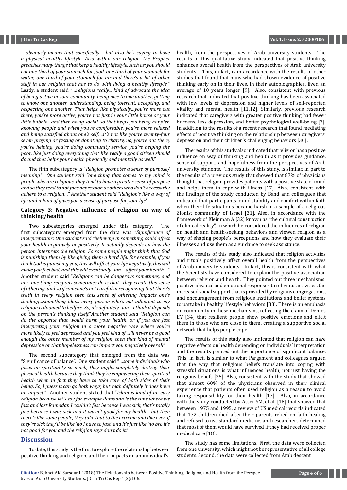*– obviously-means that specifically - but also he's saying to have a physical healthy lifestyle. Also within our religion, the Prophet preaches many things that keep a healthy lifestyle, such as: you should eat one third of your stomach for food, one third of your stomach for water, one third of your stomach for air and there's a lot of other stuff in our religion that has to do with living a healthy lifestyle.*" Lastly, a student said "*…religions really... kind of advocate the idea of being active in your community, being nice to one another, getting to know one another, understanding, being tolerant, accepting, and respecting one another. That helps, like physically…you're more out there, you're more active, you're not just in your little house or your little bubble…and then being social, so that helps you being happier, knowing people and when you're comfortable, you're more relaxed and being satisfied about one's self….it's not like you're twenty-four seven praying or fasting or donating to charity, no, you're out there, you're helping, you're doing community service, you're helping the poor, like just doing everything that like really a good citizen should do and that helps your health physically and mentally as well.*"

The fifth subcategory is "*Religion promotes a sense of purpose/ meaning". One student said "one thing that comes to my mind is people who are religious, they tend to have a greater sense of purpose and so they tend to not face depression as others who don't necessarily adhere to a religion…" Another student said "Religion's like a way of life and it kind of gives you a sense of purpose for your life*"

#### **Category 3: Negative influence of religion on way of thinking/health**

Two subcategories emerged under this category. The first subcategory emerged from the data was "*Significance of interpretation". One student said "believing in something could affect your health negatively or positively. It actually depends on how the person interprets the religion. So some people might think that God is punishing them by like giving them a hard life. for example, if you think God is punishing you, this will affect your life negatively, this will make you feel bad, and this will eventually.. um… affect your health....*" Another student said "*Religions can be dangerous sometimes, and um...one thing religions sometimes do is that…they create this sense of othering, and so if someone's not careful in recognizing that there's truth in every religion then this sense of othering impacts one's thinking…something like… every person who's not adherent to my religion is doomed to hellfire. So, it's definitely...um... I think it depends on the person's thinking itself*."*Another student said "Religion can do the opposite that would harm your health, or if you are just interpreting your religion in a more negative way where you're more likely to feel depressed and you feel kind of ..I'll never be a good enough like other member of my religion, then that kind of mental depression or that hopelessness can impact you negatively overall*"

The second subcategory that emerged from the data was "Significance of balance". One student said "*…some individuals who focus on spirituality so much, they might completely destroy their physical health because they think they're empowering their spiritual health when in fact they have to take care of both sides of their being. So, I guess it can go both ways, but yeah definitely it does have an impact.*" Another student stated that "*Islam is kind of an easy religion because let's say for example Ramadan is the time where we fast and last Ramadan I couldn't fast because I was sick, that's totally fine because I was sick and it wasn't good for my health….but then there's like some people, they take that to the extreme and like even if they're sick they'll be like 'no I have to fast' and it's just like 'no bro it's not good for you and the religion says don't do it*."

#### **Discussion**

To date, this study is the first to explore the relationship between positive thinking and religion, and their impacts on an individual's

health, from the perspectives of Arab university students. The results of this qualitative study indicated that positive thinking enhances overall health from the perspectives of Arab university students. This, in fact, is in accordance with the results of other studies that found that nuns who had shown evidence of positive thinking early on in their lives, in their autobiographies, lived an average of 10 years longer [9]. Also, consistent with previous research that indicated that positive thinking has been associated with low levels of depression and higher levels of self-reported vitality and mental health [11,12]. Similarly, previous research indicated that caregivers with greater positive thinking had fewer burdens, less depression, and better psychological well-being [7]. In addition to the results of a recent research that found mediating effects of positive thinking on the relationship between caregivers' depression and their children's challenging behaviors [30].

The results of this study also indicated that religion has a positive influence on way of thinking and health as it provides guidance, sense of support, and hopefulness from the perspectives of Arab university students. The results of this study, is similar, in part to the results of a previous study that showed that 87% of physicians thought that religion provides patients with a positive state of mind and helps them to cope with illness [17]. Also, consistent with the findings of the study conducted by Band and colleagues that indicated that participants found stability and comfort within faith when their life situations became harsh in a sample of a religious Zionist community of Israel [31]. Also, in accordance with the framework of Kleinman A [32] known as "the cultural construction of clinical reality", in which he considered the influences of religion on health and health-seeking behaviors and viewed religion as a way of shaping people's perceptions and how they evaluate their illnesses and use them as a guidance to seek assistance.

The results of this study also indicated that religion activities and rituals positively affect overall health from the perspectives of Arab university students. In fact, this is consistent with what the Scientists have considered to explain the positive association between religion and health. They pointed out three mechanisms: positive physical and emotional responses to religious activities, the increased social support that is provided by religious congregations, and encouragement from religious institutions and belief systems to partake in healthy lifestyle behaviors [33]. There is an emphasis on community in these mechanisms, reflecting the claim of Demos EV [34] that resilient people show positive emotions and elicit them in those who are close to them, creating a supportive social network that helps people cope.

The results of this study also indicated that religion can have negative effects on health depending on individuals' interpretation and the results pointed out the importance of significant balance. This, in fact, is similar to what Pargament and colleagues argued that the way that religious beliefs translate into coping with stressful situations is what influences health, not just having the religious beliefs [35]. Also, consistent with the study that showed that almost 60% of the physicians observed in their clinical experience that patients often used religion as a reason to avoid taking responsibility for their health [17]. Also, in accordance with the study conducted by Asser SM, et al. [18] that showed that between 1975 and 1995, a review of US medical records indicated that 172 children died after their parents relied on faith healing and refused to use standard medicine, and researchers determined that most of them would have survived if they had received proper medical care [18].

The study has some limitations. First, the data were collected from one university, which might not be representative of all college students. Second, the data were collected from Arab descent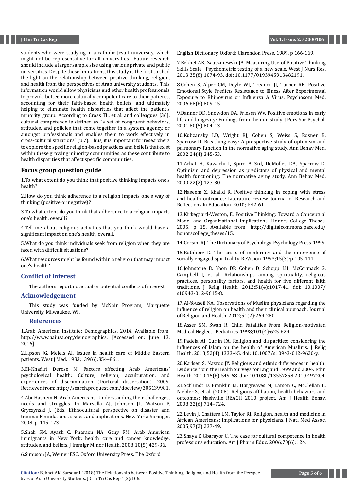students who were studying in a catholic Jesuit university, which might not be representative for all universities. Future research should include a larger sample size using various private and public universities. Despite these limitations, this study is the first to shed the light on the relationship between positive thinking, religion, and health from the perspectives of Arab university students. This information would allow physicians and other health professionals to provide better, more culturally competent care to their patients, accounting for their faith-based health beliefs, and ultimately helping to eliminate health disparities that affect the patient's minority group. According to Cross TL, et al. and colleagues [36], cultural competence is defined as "a set of congruent behaviors, attitudes, and policies that come together in a system, agency, or amongst professionals and enables them to work effectively in cross-cultural situations" (p 7). Thus, it is important for researchers to explore the specific religion-based practices and beliefs that exist within these growing minority communities, as these contribute to health disparities that affect specific communities.

#### **Focus group question guide**

1.To what extent do you think that positive thinking impacts one's health?

2.How do you think adherence to a religion impacts one's way of thinking (positive or negative)?

3.To what extent do you think that adherence to a religion impacts one's health, overall?

4.Tell me about religious activities that you think would have a significant impact on one's health, overall.

5.What do you think individuals seek from religion when they are faced with difficult situations?

6.What resources might be found within a religion that may impact one's health?

#### **Conflict of Interest**

The authors report no actual or potential conflicts of interest.

#### **Acknowledgement**

This study was funded by McNair Program, Marquette University, Milwaukee, WI.

#### **References**

1.Arab American Institute: Demographics. 2014. Available from: [http://www.aaiusa.org/demographics.](http://: http://www.aaiusa.org/demographics) [Accessed on: June 13, 2016].

[2.Lipson JG, Meleis AI. Issues in health care of Middle Eastern](https://www.ncbi.nlm.nih.gov/pmc/articles/PMC1011016/) [patients. West J Med. 1983;139\(6\):854–861.](https://www.ncbi.nlm.nih.gov/pmc/articles/PMC1011016/) 

3.El-Khadiri Derose M. Factors affecting Arab Americans' psychological health: Culture, religion, acculturation, and experiences of discrimination (Doctoral dissertation). 2009. Retrieved from: [http://search.proquest.com/docview/305139981.](http://search.proquest.com/docview/305139981.  )

[4.Abi-Hashem N. Arab Americans: Understanding their challenges,](https://link.springer.com/chapter/10.1007%2F978-0-387-73285-5_5)  [needs and struggles. In Marsella AJ, Johnson JL, Watson P,](https://link.springer.com/chapter/10.1007%2F978-0-387-73285-5_5) [Gryczynski J. \(Eds. Ethnocultural perspective on disaster and](https://link.springer.com/chapter/10.1007%2F978-0-387-73285-5_5) [trauma: Foundations, issues, and applications. New York: Springer.](https://link.springer.com/chapter/10.1007%2F978-0-387-73285-5_5)  [2008. p. 115-173.](https://link.springer.com/chapter/10.1007%2F978-0-387-73285-5_5)

[5.Shah SM, Ayash C, Pharaon NA, Gany FM. Arab American](https://www.ncbi.nlm.nih.gov/pubmed/18080200) [immigrants in New York: health care and cancer knowledge,](https://www.ncbi.nlm.nih.gov/pubmed/18080200)  [attitudes, and beliefs. J Immigr Minor Health. 2008;10\(5\):429-36.](https://www.ncbi.nlm.nih.gov/pubmed/18080200)

6.Simpson JA, Weiner ESC. Oxford University Press. The Oxford

English Dictionary. Oxford: Clarendon Press. 1989. p 166-169.

[7.Bekhet AK, Zauszniewski JA. Measuring Use of Positive Thinking](https://www.ncbi.nlm.nih.gov/pubmed/23509101) [Skills Scale: Psychometric testing of a new scale. West J Nurs Res.](https://www.ncbi.nlm.nih.gov/pubmed/23509101) [2013;35\(8\):1074-93. doi: 10.1177/0193945913482191.](https://www.ncbi.nlm.nih.gov/pubmed/23509101)

[8.Cohen S, Alper CM, Doyle WJ, Treanor JJ, Turner RB. Positive](https://www.ncbi.nlm.nih.gov/pubmed/17101814) [Emotional Style Predicts Resistance to Illness After Experimental](https://www.ncbi.nlm.nih.gov/pubmed/17101814) [Exposure to Rhinovirus or Influenza A Virus. Psychosom Med.](https://www.ncbi.nlm.nih.gov/pubmed/17101814) [2006;68\(6\):809-15.](https://www.ncbi.nlm.nih.gov/pubmed/17101814) 

[9.Danner DD, Snowdon DA, Friesen WV. Positive emotions in early](https://www.ncbi.nlm.nih.gov/pubmed/11374751) [life and longevity: Findings from the nun study. J Pers Soc Psychol.](https://www.ncbi.nlm.nih.gov/pubmed/11374751) [2001;80\(5\):804-13.](https://www.ncbi.nlm.nih.gov/pubmed/11374751)

[10.Kubzansky LD, Wright RJ, Cohen S, Weiss S, Rosner B,](https://www.ncbi.nlm.nih.gov/pubmed/12434946) [Sparrow D. Breathing easy: A prospective study of optimism and](https://www.ncbi.nlm.nih.gov/pubmed/12434946) [pulmonary function in the normative aging study. Ann Behav Med.](https://www.ncbi.nlm.nih.gov/pubmed/12434946) [2002;24\(4\):345-53.](https://www.ncbi.nlm.nih.gov/pubmed/12434946)

[11.Achat H, Kawachi I, Spiro A 3rd, DeMolles DA, Sparrow D.](https://www.ncbi.nlm.nih.gov/pubmed/10962705) [Optimism and depression as predictors of physical and mental](https://www.ncbi.nlm.nih.gov/pubmed/10962705) [health functioning: The normative aging study. Ann Behav Med.](https://www.ncbi.nlm.nih.gov/pubmed/10962705) [2000;22\(2\):127-30.](https://www.ncbi.nlm.nih.gov/pubmed/10962705)

12.Naseem Z, Khalid R. Positive thinking in coping with stress and health outcomes: Literature review. Journal of Research and Reflections in Education. 2010;4:42-61.

13.Kirkegaard-Weston, E. Positive Thinking: Toward a Conceptual Model and Organizational Implications. Honors College Theses. 2005. p 15. Available from: [http://digitalcommons.pace.edu/](http://digitalcommons.pace.edu/honorscollege_theses/15) [honorscollege\\_theses/15.](http://digitalcommons.pace.edu/honorscollege_theses/15)

14.Corsini RJ. The Dictionary of Psychology. Psychology Press. 1999.

15.Rothberg D. The crisis of modernity and the emergence of socially engaged spirituality. ReVision. 1993;15(3):p 105-114.

[16.Johnstone B, Yoon DP, Cohen D, Schopp LH, McCormack G,](https://www.ncbi.nlm.nih.gov/pubmed/22618413) [Campbell J, et al. Relationships among spirituality, religious](https://www.ncbi.nlm.nih.gov/pubmed/22618413) [practices, personality factors, and health for five different faith](https://www.ncbi.nlm.nih.gov/pubmed/22618413) [traditions. J Relig Health. 2012;51\(4\):1017-41. doi: 10.1007/](https://www.ncbi.nlm.nih.gov/pubmed/22618413) [s10943-012-9615-8.](https://www.ncbi.nlm.nih.gov/pubmed/22618413)

[17.Al-Yousefi NA. Observations of Muslim physicians regarding the](https://link.springer.com/article/10.1007/s10943-012-9567-z) [influence of religion on health and their clinical approach. Journal](https://link.springer.com/article/10.1007/s10943-012-9567-z) [of Religion and Health. 2012;51\(2\):269-280.](https://link.springer.com/article/10.1007/s10943-012-9567-z)

[18.Asser SM, Swan R. Child Fatalities From Religion-motivated](http://pediatrics.aappublications.org/content/101/4/625) [Medical Neglect. Pediatrics. 1998;101\(4\):625-629.](http://pediatrics.aappublications.org/content/101/4/625)

[19.Padela AI, Curlin FA. Religion and disparities: considering the](https://www.ncbi.nlm.nih.gov/pubmed/22653653) [influences of Islam on the health of American Muslims. J Relig](https://www.ncbi.nlm.nih.gov/pubmed/22653653) [Health. 2013;52\(4\):1333-45. doi: 10.1007/s10943-012-9620-y.](https://www.ncbi.nlm.nih.gov/pubmed/22653653)

[20.Karlsen S, Nazroo JY. Religious and ethnic differences in health:](https://www.ncbi.nlm.nih.gov/pubmed/20672202) [Evidence from the Health Surveys for England 1999 and 2004. Ethn](https://www.ncbi.nlm.nih.gov/pubmed/20672202) [Health. 2010;15\(6\):549-68. doi: 10.1080/13557858.2010.497204.](https://www.ncbi.nlm.nih.gov/pubmed/20672202)

[21.Schlundt D, Franklin M, Hargreaves M, Larson C, McClellan L,](https://www.ncbi.nlm.nih.gov/pmc/articles/PMC4753840/) [Niebler S, et al. \(2008\). Religious affiliation, health behaviors and](https://www.ncbi.nlm.nih.gov/pmc/articles/PMC4753840/) [outcomes: Nashville REACH 2010 project. Am J Health Behav.](https://www.ncbi.nlm.nih.gov/pmc/articles/PMC4753840/) [2008;32\(6\):714–724.](https://www.ncbi.nlm.nih.gov/pmc/articles/PMC4753840/)

[22.Levin J, Chatters LM, Taylor RJ. Religion, health and medicine in](https://www.ncbi.nlm.nih.gov/pubmed/15712787) [African Americans: Implications for physicians. J Natl Med Assoc.](https://www.ncbi.nlm.nih.gov/pubmed/15712787) [2005;97\(2\):237-49.](https://www.ncbi.nlm.nih.gov/pubmed/15712787)

[23.Shaya F, Gbarayor C. The case for cultural competence in health](https://www.ncbi.nlm.nih.gov/pmc/articles/PMC1803701/) [professions education. Am J Pharm Educ. 2006;70\(6\):124.](https://www.ncbi.nlm.nih.gov/pmc/articles/PMC1803701/)